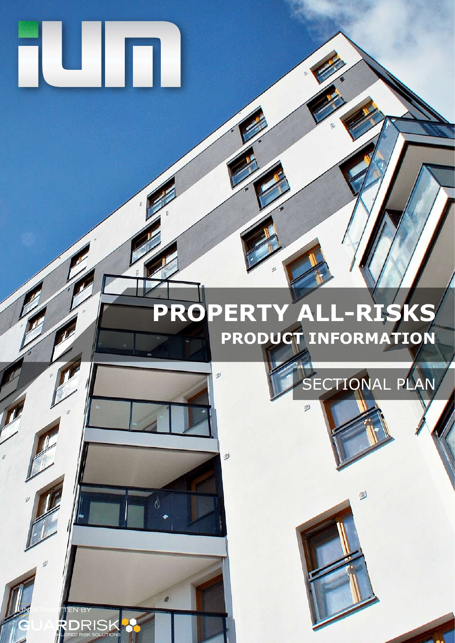# TU IT

# **PROPERTY ALL-RISKS PRODUCT INFORMATION**

 $\omega$ 

 $\mathcal{Q}$ 

e

**RIS** 

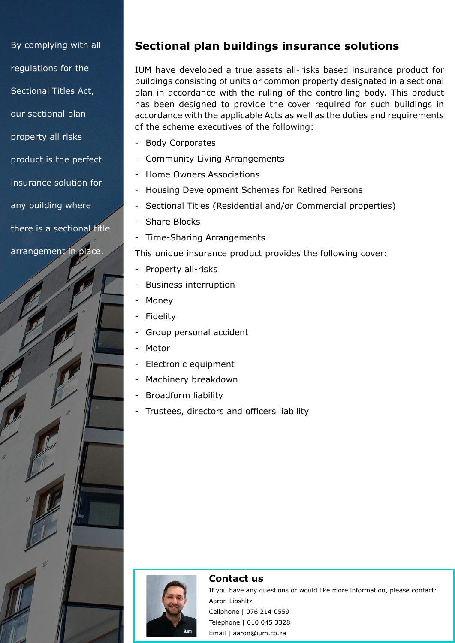By complying with all regulations for the Sectional Titles Act, our sectional plan property all risks product is the perfect insurance solution for any building where there is a sectional title arrangement in place.

# **Sectional plan buildings insurance solutions**

IUM have developed a true assets all-risks based insurance product for buildings consisting of units or common property designated in a sectional plan in accordance with the ruling of the controlling body. This product has been designed to provide the cover required for such buildings in accordance with the applicable Acts as well as the duties and requirements of the scheme executives of the following:

- Body Corporates
- Community Living Arrangements
- Home Owners Associations
- Housing Development Schemes for Retired Persons
- Sectional Titles (Residential and/or Commercial properties)
- Share Blocks
- Time-Sharing Arrangements

This unique insurance product provides the following cover:

- Property all-risks
- Business interruption
- Money
- **Fidelity**
- Group personal accident
- Motor
- Electronic equipment
- Machinery breakdown
- Broadform liability
- Trustees, directors and officers liability



#### **Contact us**

If you have any questions or would like more information, please contact: Aaron Lipshitz Cellphone | 076 214 0559 Telephone | 010 045 3328 Email | aaron@ium.co.za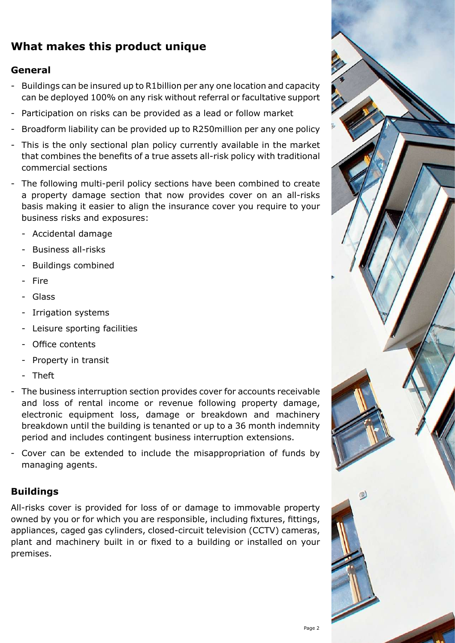# **What makes this product unique**

#### **General**

- Buildings can be insured up to R1billion per any one location and capacity can be deployed 100% on any risk without referral or facultative support
- Participation on risks can be provided as a lead or follow market
- Broadform liability can be provided up to R250million per any one policy
- This is the only sectional plan policy currently available in the market that combines the benefits of a true assets all-risk policy with traditional commercial sections
- The following multi-peril policy sections have been combined to create a property damage section that now provides cover on an all-risks basis making it easier to align the insurance cover you require to your business risks and exposures:
	- Accidental damage
	- Business all-risks
	- Buildings combined
	- Fire
	- **Glass**
	- Irrigation systems
	- Leisure sporting facilities
	- Office contents
	- Property in transit
	- **Theft**
- The business interruption section provides cover for accounts receivable and loss of rental income or revenue following property damage, electronic equipment loss, damage or breakdown and machinery breakdown until the building is tenanted or up to a 36 month indemnity period and includes contingent business interruption extensions.
- Cover can be extended to include the misappropriation of funds by managing agents.

# **Buildings**

All-risks cover is provided for loss of or damage to immovable property owned by you or for which you are responsible, including fixtures, fittings, appliances, caged gas cylinders, closed-circuit television (CCTV) cameras, plant and machinery built in or fixed to a building or installed on your premises.

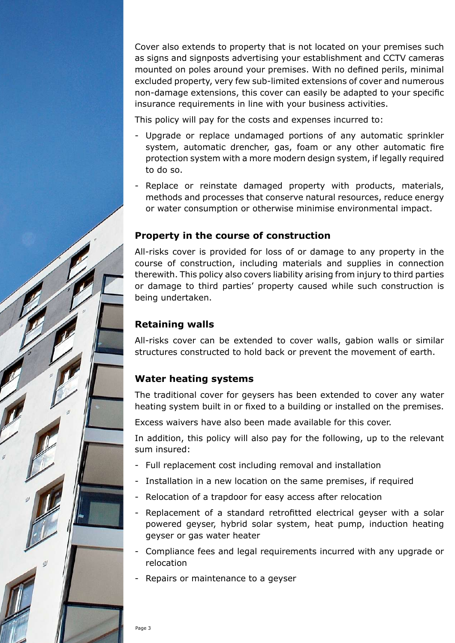Cover also extends to property that is not located on your premises such as signs and signposts advertising your establishment and CCTV cameras mounted on poles around your premises. With no defined perils, minimal excluded property, very few sub-limited extensions of cover and numerous non-damage extensions, this cover can easily be adapted to your specific insurance requirements in line with your business activities.

This policy will pay for the costs and expenses incurred to:

- Upgrade or replace undamaged portions of any automatic sprinkler system, automatic drencher, gas, foam or any other automatic fire protection system with a more modern design system, if legally required to do so.
- Replace or reinstate damaged property with products, materials, methods and processes that conserve natural resources, reduce energy or water consumption or otherwise minimise environmental impact.

#### **Property in the course of construction**

All-risks cover is provided for loss of or damage to any property in the course of construction, including materials and supplies in connection therewith. This policy also covers liability arising from injury to third parties or damage to third parties' property caused while such construction is being undertaken.

#### **Retaining walls**

All-risks cover can be extended to cover walls, gabion walls or similar structures constructed to hold back or prevent the movement of earth.

#### **Water heating systems**

The traditional cover for geysers has been extended to cover any water heating system built in or fixed to a building or installed on the premises.

Excess waivers have also been made available for this cover.

In addition, this policy will also pay for the following, up to the relevant sum insured:

- Full replacement cost including removal and installation
- Installation in a new location on the same premises, if required
- Relocation of a trapdoor for easy access after relocation
- Replacement of a standard retrofitted electrical geyser with a solar powered geyser, hybrid solar system, heat pump, induction heating geyser or gas water heater
- Compliance fees and legal requirements incurred with any upgrade or relocation
- Repairs or maintenance to a geyser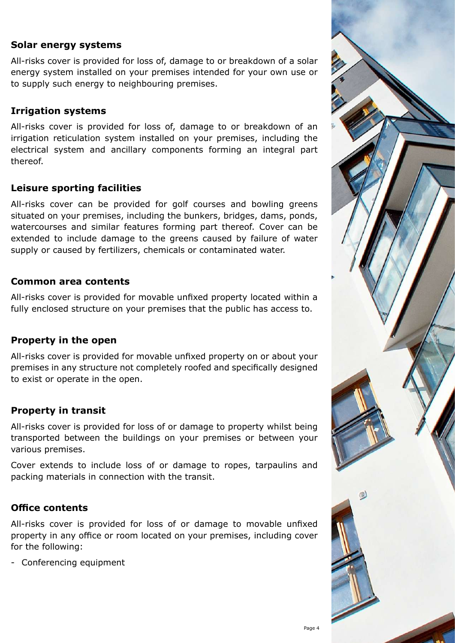#### **Solar energy systems**

All-risks cover is provided for loss of, damage to or breakdown of a solar energy system installed on your premises intended for your own use or to supply such energy to neighbouring premises.

#### **Irrigation systems**

All-risks cover is provided for loss of, damage to or breakdown of an irrigation reticulation system installed on your premises, including the electrical system and ancillary components forming an integral part thereof.

#### **Leisure sporting facilities**

All-risks cover can be provided for golf courses and bowling greens situated on your premises, including the bunkers, bridges, dams, ponds, watercourses and similar features forming part thereof. Cover can be extended to include damage to the greens caused by failure of water supply or caused by fertilizers, chemicals or contaminated water.

#### **Common area contents**

All-risks cover is provided for movable unfixed property located within a fully enclosed structure on your premises that the public has access to.

#### **Property in the open**

All-risks cover is provided for movable unfixed property on or about your premises in any structure not completely roofed and specifically designed to exist or operate in the open.

#### **Property in transit**

All-risks cover is provided for loss of or damage to property whilst being transported between the buildings on your premises or between your various premises.

Cover extends to include loss of or damage to ropes, tarpaulins and packing materials in connection with the transit.

#### **Office contents**

All-risks cover is provided for loss of or damage to movable unfixed property in any office or room located on your premises, including cover for the following:

- Conferencing equipment

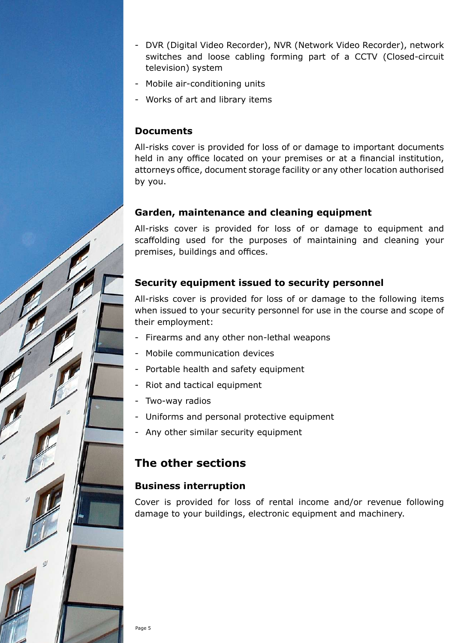- DVR (Digital Video Recorder), NVR (Network Video Recorder), network switches and loose cabling forming part of a CCTV (Closed-circuit television) system
- Mobile air-conditioning units
- Works of art and library items

#### **Documents**

All-risks cover is provided for loss of or damage to important documents held in any office located on your premises or at a financial institution, attorneys office, document storage facility or any other location authorised by you.

#### **Garden, maintenance and cleaning equipment**

All-risks cover is provided for loss of or damage to equipment and scaffolding used for the purposes of maintaining and cleaning your premises, buildings and offices.

# **Security equipment issued to security personnel**

All-risks cover is provided for loss of or damage to the following items when issued to your security personnel for use in the course and scope of their employment:

- Firearms and any other non-lethal weapons
- Mobile communication devices
- Portable health and safety equipment
- Riot and tactical equipment
- Two-way radios
- Uniforms and personal protective equipment
- Any other similar security equipment

# **The other sections**

#### **Business interruption**

Cover is provided for loss of rental income and/or revenue following damage to your buildings, electronic equipment and machinery.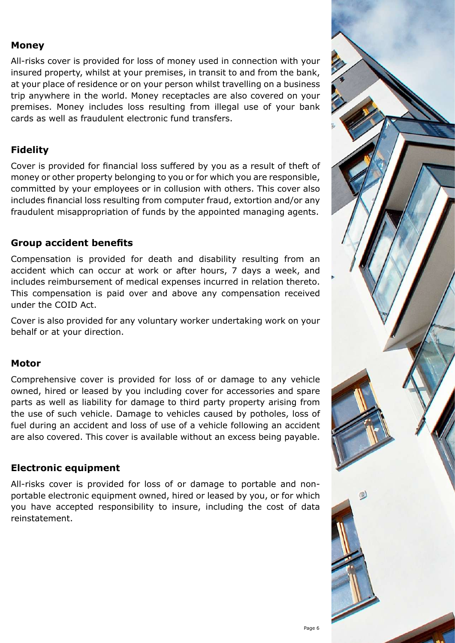#### **Money**

All-risks cover is provided for loss of money used in connection with your insured property, whilst at your premises, in transit to and from the bank, at your place of residence or on your person whilst travelling on a business trip anywhere in the world. Money receptacles are also covered on your premises. Money includes loss resulting from illegal use of your bank cards as well as fraudulent electronic fund transfers.

# **Fidelity**

Cover is provided for financial loss suffered by you as a result of theft of money or other property belonging to you or for which you are responsible, committed by your employees or in collusion with others. This cover also includes financial loss resulting from computer fraud, extortion and/or any fraudulent misappropriation of funds by the appointed managing agents.

# **Group accident benefits**

Compensation is provided for death and disability resulting from an accident which can occur at work or after hours, 7 days a week, and includes reimbursement of medical expenses incurred in relation thereto. This compensation is paid over and above any compensation received under the COID Act.

Cover is also provided for any voluntary worker undertaking work on your behalf or at your direction.

#### **Motor**

Comprehensive cover is provided for loss of or damage to any vehicle owned, hired or leased by you including cover for accessories and spare parts as well as liability for damage to third party property arising from the use of such vehicle. Damage to vehicles caused by potholes, loss of fuel during an accident and loss of use of a vehicle following an accident are also covered. This cover is available without an excess being payable.

# **Electronic equipment**

All-risks cover is provided for loss of or damage to portable and nonportable electronic equipment owned, hired or leased by you, or for which you have accepted responsibility to insure, including the cost of data reinstatement.

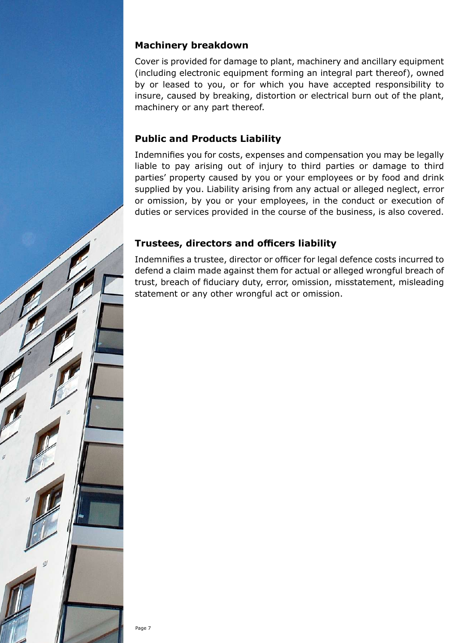#### **Machinery breakdown**

Cover is provided for damage to plant, machinery and ancillary equipment (including electronic equipment forming an integral part thereof), owned by or leased to you, or for which you have accepted responsibility to insure, caused by breaking, distortion or electrical burn out of the plant, machinery or any part thereof.

# **Public and Products Liability**

Indemnifies you for costs, expenses and compensation you may be legally liable to pay arising out of injury to third parties or damage to third parties' property caused by you or your employees or by food and drink supplied by you. Liability arising from any actual or alleged neglect, error or omission, by you or your employees, in the conduct or execution of duties or services provided in the course of the business, is also covered.

# **Trustees, directors and officers liability**

Indemnifies a trustee, director or officer for legal defence costs incurred to defend a claim made against them for actual or alleged wrongful breach of trust, breach of fiduciary duty, error, omission, misstatement, misleading statement or any other wrongful act or omission.